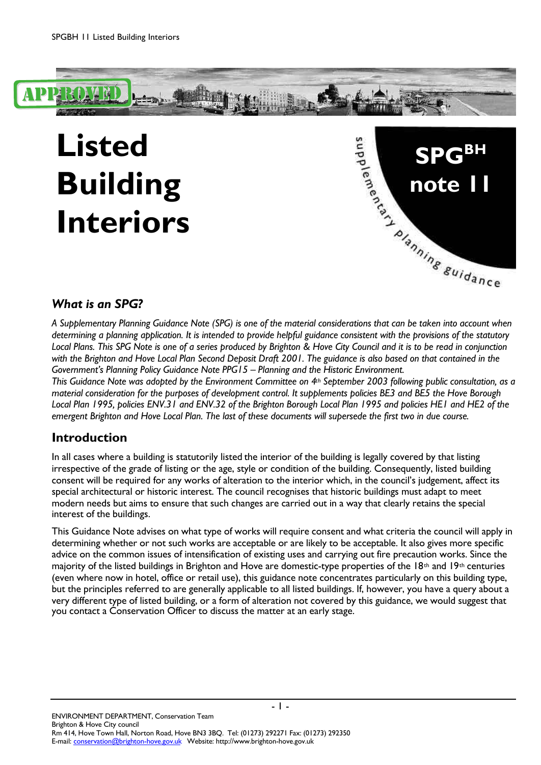

#### *What is an SPG?*

*A Supplementary Planning Guidance Note (SPG) is one of the material considerations that can be taken into account when determining a planning application. It is intended to provide helpful guidance consistent with the provisions of the statutory Local Plans. This SPG Note is one of a series produced by Brighton & Hove City Council and it is to be read in conjunction with the Brighton and Hove Local Plan Second Deposit Draft 2001. The guidance is also based on that contained in the Government's Planning Policy Guidance Note PPG15 – Planning and the Historic Environment.*

*This Guidance Note was adopted by the Environment Committee on 4th September 2003 following public consultation, as a material consideration for the purposes of development control. It supplements policies BE3 and BE5 the Hove Borough Local Plan 1995, policies ENV.31 and ENV.32 of the Brighton Borough Local Plan 1995 and policies HE1 and HE2 of the emergent Brighton and Hove Local Plan. The last of these documents will supersede the first two in due course.*

### **Introduction**

In all cases where a building is statutorily listed the interior of the building is legally covered by that listing irrespective of the grade of listing or the age, style or condition of the building. Consequently, listed building consent will be required for any works of alteration to the interior which, in the council's judgement, affect its special architectural or historic interest. The council recognises that historic buildings must adapt to meet modern needs but aims to ensure that such changes are carried out in a way that clearly retains the special interest of the buildings.

This Guidance Note advises on what type of works will require consent and what criteria the council will apply in determining whether or not such works are acceptable or are likely to be acceptable. It also gives more specific advice on the common issues of intensification of existing uses and carrying out fire precaution works. Since the majority of the listed buildings in Brighton and Hove are domestic-type properties of the 18<sup>th</sup> and 19<sup>th</sup> centuries (even where now in hotel, office or retail use), this guidance note concentrates particularly on this building type, but the principles referred to are generally applicable to all listed buildings. If, however, you have a query about a very different type of listed building, or a form of alteration not covered by this guidance, we would suggest that you contact a Conservation Officer to discuss the matter at an early stage.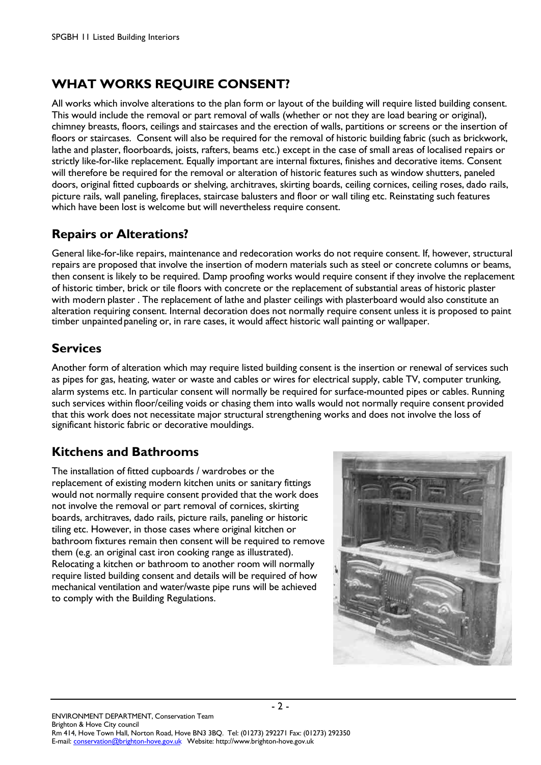# **WHAT WORKS REQUIRE CONSENT?**

All works which involve alterations to the plan form or layout of the building will require listed building consent. This would include the removal or part removal of walls (whether or not they are load bearing or original), chimney breasts, floors, ceilings and staircases and the erection of walls, partitions or screens or the insertion of floors or staircases. Consent will also be required for the removal of historic building fabric (such as brickwork, lathe and plaster, floorboards, joists, rafters, beams etc.) except in the case of small areas of localised repairs or strictly like-for-like replacement. Equally important are internal fixtures, finishes and decorative items. Consent will therefore be required for the removal or alteration of historic features such as window shutters, paneled doors, original fitted cupboards or shelving, architraves, skirting boards, ceiling cornices, ceiling roses, dado rails, picture rails, wall paneling, fireplaces, staircase balusters and floor or wall tiling etc. Reinstating such features which have been lost is welcome but will nevertheless require consent.

# **Repairs or Alterations?**

General like-for-like repairs, maintenance and redecoration works do not require consent. If, however, structural repairs are proposed that involve the insertion of modern materials such as steel or concrete columns or beams, then consent is likely to be required. Damp proofing works would require consent if they involve the replacement of historic timber, brick or tile floors with concrete or the replacement of substantial areas of historic plaster with modern plaster . The replacement of lathe and plaster ceilings with plasterboard would also constitute an alteration requiring consent. Internal decoration does not normally require consent unless it is proposed to paint timber unpainted paneling or, in rare cases, it would affect historic wall painting or wallpaper.

## **Services**

Another form of alteration which may require listed building consent is the insertion or renewal of services such as pipes for gas, heating, water or waste and cables or wires for electrical supply, cable TV, computer trunking, alarm systems etc. In particular consent will normally be required for surface-mounted pipes or cables. Running such services within floor/ceiling voids or chasing them into walls would not normally require consent provided that this work does not necessitate major structural strengthening works and does not involve the loss of significant historic fabric or decorative mouldings.

# **Kitchens and Bathrooms**

The installation of fitted cupboards / wardrobes or the replacement of existing modern kitchen units or sanitary fittings would not normally require consent provided that the work does not involve the removal or part removal of cornices, skirting boards, architraves, dado rails, picture rails, paneling or historic tiling etc. However, in those cases where original kitchen or bathroom fixtures remain then consent will be required to remove them (e.g. an original cast iron cooking range as illustrated). Relocating a kitchen or bathroom to another room will normally require listed building consent and details will be required of how mechanical ventilation and water/waste pipe runs will be achieved to comply with the Building Regulations.

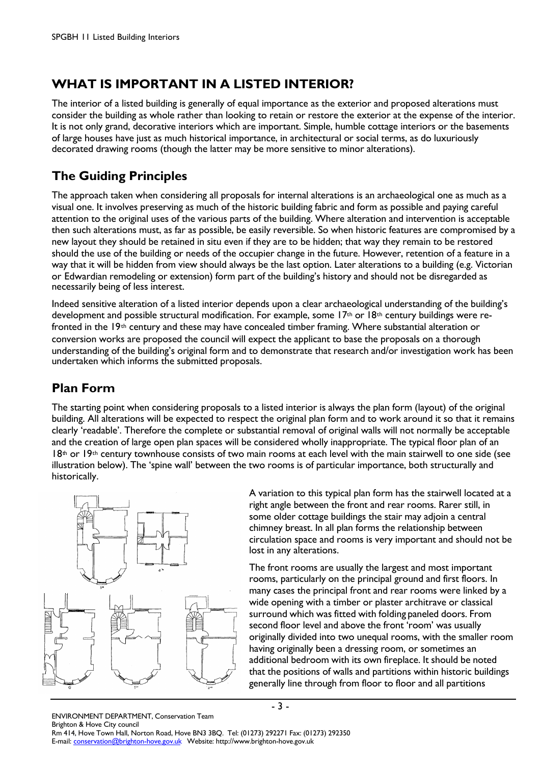# **WHAT IS IMPORTANT IN A LISTED INTERIOR?**

The interior of a listed building is generally of equal importance as the exterior and proposed alterations must consider the building as whole rather than looking to retain or restore the exterior at the expense of the interior. It is not only grand, decorative interiors which are important. Simple, humble cottage interiors or the basements of large houses have just as much historical importance, in architectural or social terms, as do luxuriously decorated drawing rooms (though the latter may be more sensitive to minor alterations).

## **The Guiding Principles**

The approach taken when considering all proposals for internal alterations is an archaeological one as much as a visual one. It involves preserving as much of the historic building fabric and form as possible and paying careful attention to the original uses of the various parts of the building. Where alteration and intervention is acceptable then such alterations must, as far as possible, be easily reversible. So when historic features are compromised by a new layout they should be retained in situ even if they are to be hidden; that way they remain to be restored should the use of the building or needs of the occupier change in the future. However, retention of a feature in a way that it will be hidden from view should always be the last option. Later alterations to a building (e.g. Victorian or Edwardian remodeling or extension) form part of the building's history and should not be disregarded as necessarily being of less interest.

Indeed sensitive alteration of a listed interior depends upon a clear archaeological understanding of the building's development and possible structural modification. For example, some  $17<sup>th</sup>$  or  $18<sup>th</sup>$  century buildings were refronted in the 19th century and these may have concealed timber framing. Where substantial alteration or conversion works are proposed the council will expect the applicant to base the proposals on a thorough understanding of the building's original form and to demonstrate that research and/or investigation work has been undertaken which informs the submitted proposals.

## **Plan Form**

The starting point when considering proposals to a listed interior is always the plan form (layout) of the original building. All alterations will be expected to respect the original plan form and to work around it so that it remains clearly 'readable'. Therefore the complete or substantial removal of original walls will not normally be acceptable and the creation of large open plan spaces will be considered wholly inappropriate. The typical floor plan of an  $18<sup>th</sup>$  or  $19<sup>th</sup>$  century townhouse consists of two main rooms at each level with the main stairwell to one side (see illustration below). The 'spine wall' between the two rooms is of particular importance, both structurally and historically.

- 3 -



A variation to this typical plan form has the stairwell located at a right angle between the front and rear rooms. Rarer still, in some older cottage buildings the stair may adjoin a central chimney breast. In all plan forms the relationship between circulation space and rooms is very important and should not be lost in any alterations.

The front rooms are usually the largest and most important rooms, particularly on the principal ground and first floors. In many cases the principal front and rear rooms were linked by a wide opening with a timber or plaster architrave or classical surround which was fitted with folding paneled doors. From second floor level and above the front 'room' was usually originally divided into two unequal rooms, with the smaller room having originally been a dressing room, or sometimes an additional bedroom with its own fireplace. It should be noted that the positions of walls and partitions within historic buildings generally line through from floor to floor and all partitions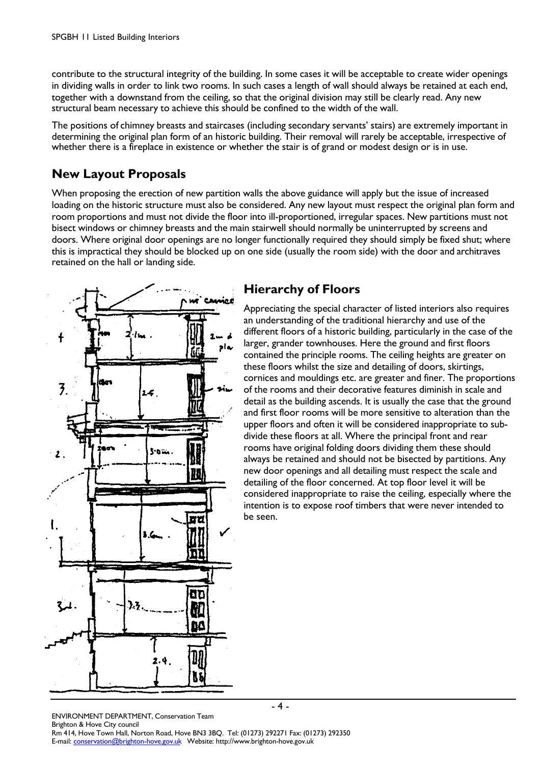contribute to the structural integrity of the building. In some cases it will be acceptable to create wider openings in dividing walls in order to link two rooms. In such cases a length of wall should always be retained at each end, together with a downstand from the ceiling, so that the original division may still be clearly read. Any new structural beam necessary to achieve this should be confined to the width of the wall.

The positions of chimney breasts and staircases (including secondary servants' stairs) are extremely important in determining the original plan form of an historic building. Their removal will rarely be acceptable, irrespective of whether there is a fireplace in existence or whether the stair is of grand or modest design or is in use.

#### **New Layout Proposals**

When proposing the erection of new partition walls the above guidance will apply but the issue of increased loading on the historic structure must also be considered. Any new layout must respect the original plan form and room proportions and must not divide the floor into ill-proportioned, irregular spaces. New partitions must not bisect windows or chimney breasts and the main stairwell should normally be uninterrupted by screens and doors. Where original door openings are no longer functionally required they should simply be fixed shut; where this is impractical they should be blocked up on one side (usually the room side) with the door and architraves retained on the hall or landing side.



#### **Hierarchy of Floors**

Appreciating the special character of listed interiors also requires an understanding of the traditional hierarchy and use of the different floors of a historic building, particularly in the case of the larger, grander townhouses. Here the ground and first floors contained the principle rooms. The ceiling heights are greater on these floors whilst the size and detailing of doors, skirtings, cornices and mouldings etc. are greater and finer. The proportions of the rooms and their decorative features diminish in scale and detail as the building ascends. It is usually the case that the ground and first floor rooms will be more sensitive to alteration than the upper floors and often it will be considered inappropriate to subdivide these floors at all. Where the principal front and rear rooms have original folding doors dividing them these should always be retained and should not be bisected by partitions. Any new door openings and all detailing must respect the scale and detailing of the floor concerned. At top floor level it will be considered inappropriate to raise the ceiling, especially where the intention is to expose roof timbers that were never intended to be seen.

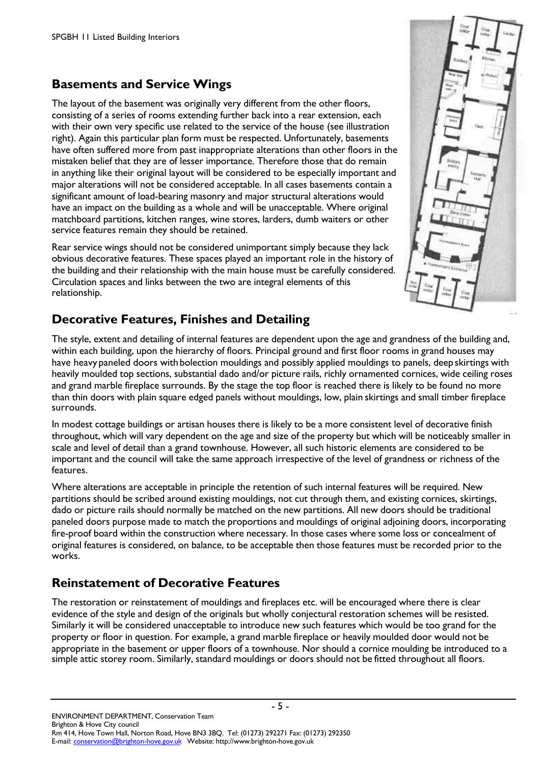### **Basements and Service Wings**

The layout of the basement was originally very different from the other floors, consisting of a series of rooms extending further back into a rear extension, each with their own very specific use related to the service of the house (see illustration right). Again this particular plan form must be respected. Unfortunately, basements have often suffered more from past inappropriate alterations than other floors in the mistaken belief that they are of lesser importance. Therefore those that do remain in anything like their original layout will be considered to be especially important and major alterations will not be considered acceptable. In all cases basements contain a significant amount of load-bearing masonry and major structural alterations would have an impact on the building as a whole and will be unacceptable. Where original matchboard partitions, kitchen ranges, wine stores, larders, dumb waiters or other service features remain they should be retained.

Rear service wings should not be considered unimportant simply because they lack obvious decorative features. These spaces played an important role in the history of the building and their relationship with the main house must be carefully considered. Circulation spaces and links between the two are integral elements of this relationship.

### **Decorative Features, Finishes and Detailing**

The style, extent and detailing of internal features are dependent upon the age and grandness of the building and, within each building, upon the hierarchy of floors. Principal ground and first floor rooms in grand houses may have heavy paneled doors with bolection mouldings and possibly applied mouldings to panels, deep skirtings with heavily moulded top sections, substantial dado and/or picture rails, richly ornamented cornices, wide ceiling roses and grand marble fireplace surrounds. By the stage the top floor is reached there is likely to be found no more than thin doors with plain square edged panels without mouldings, low, plain skirtings and small timber fireplace surrounds.

In modest cottage buildings or artisan houses there is likely to be a more consistent level of decorative finish throughout, which will vary dependent on the age and size of the property but which will be noticeably smaller in scale and level of detail than a grand townhouse. However, all such historic elements are considered to be important and the council will take the same approach irrespective of the level of grandness or richness of the features.

Where alterations are acceptable in principle the retention of such internal features will be required. New partitions should be scribed around existing mouldings, not cut through them, and existing cornices, skirtings, dado or picture rails should normally be matched on the new partitions. All new doors should be traditional paneled doors purpose made to match the proportions and mouldings of original adjoining doors, incorporating fire-proof board within the construction where necessary. In those cases where some loss or concealment of original features is considered, on balance, to be acceptable then those features must be recorded prior to the works.

### **Reinstatement of Decorative Features**

The restoration or reinstatement of mouldings and fireplaces etc. will be encouraged where there is clear evidence of the style and design of the originals but wholly conjectural restoration schemes will be resisted. Similarly it will be considered unacceptable to introduce new such features which would be too grand for the property or floor in question. For example, a grand marble fireplace or heavily moulded door would not be appropriate in the basement or upper floors of a townhouse. Nor should a cornice moulding be introduced to a simple attic storey room. Similarly, standard mouldings or doors should not be fitted throughout all floors.

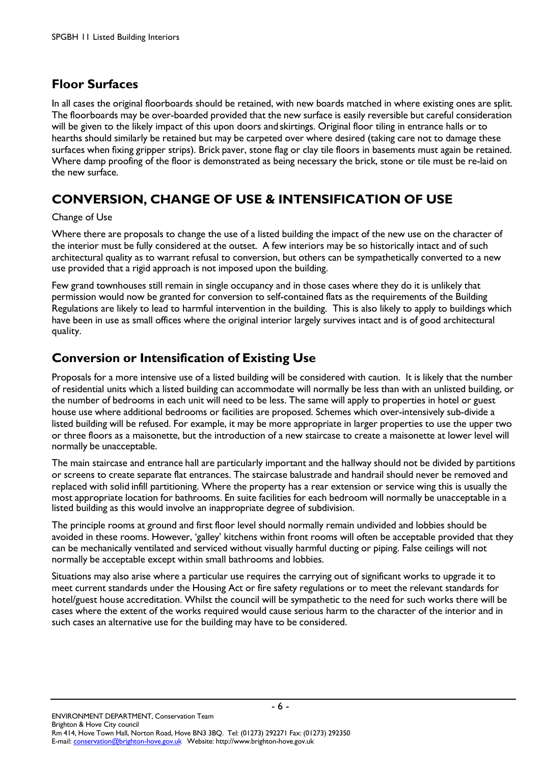#### **Floor Surfaces**

In all cases the original floorboards should be retained, with new boards matched in where existing ones are split. The floorboards may be over-boarded provided that the new surface is easily reversible but careful consideration will be given to the likely impact of this upon doors and skirtings. Original floor tiling in entrance halls or to hearths should similarly be retained but may be carpeted over where desired (taking care not to damage these surfaces when fixing gripper strips). Brick paver, stone flag or clay tile floors in basements must again be retained. Where damp proofing of the floor is demonstrated as being necessary the brick, stone or tile must be re-laid on the new surface.

# **CONVERSION, CHANGE OF USE & INTENSIFICATION OF USE**

#### Change of Use

Where there are proposals to change the use of a listed building the impact of the new use on the character of the interior must be fully considered at the outset. A few interiors may be so historically intact and of such architectural quality as to warrant refusal to conversion, but others can be sympathetically converted to a new use provided that a rigid approach is not imposed upon the building.

Few grand townhouses still remain in single occupancy and in those cases where they do it is unlikely that permission would now be granted for conversion to self-contained flats as the requirements of the Building Regulations are likely to lead to harmful intervention in the building. This is also likely to apply to buildings which have been in use as small offices where the original interior largely survives intact and is of good architectural quality.

#### **Conversion or Intensification of Existing Use**

Proposals for a more intensive use of a listed building will be considered with caution. It is likely that the number of residential units which a listed building can accommodate will normally be less than with an unlisted building, or the number of bedrooms in each unit will need to be less. The same will apply to properties in hotel or guest house use where additional bedrooms or facilities are proposed. Schemes which over-intensively sub-divide a listed building will be refused. For example, it may be more appropriate in larger properties to use the upper two or three floors as a maisonette, but the introduction of a new staircase to create a maisonette at lower level will normally be unacceptable.

The main staircase and entrance hall are particularly important and the hallway should not be divided by partitions or screens to create separate flat entrances. The staircase balustrade and handrail should never be removed and replaced with solid infill partitioning. Where the property has a rear extension or service wing this is usually the most appropriate location for bathrooms. En suite facilities for each bedroom will normally be unacceptable in a listed building as this would involve an inappropriate degree of subdivision.

The principle rooms at ground and first floor level should normally remain undivided and lobbies should be avoided in these rooms. However, 'galley' kitchens within front rooms will often be acceptable provided that they can be mechanically ventilated and serviced without visually harmful ducting or piping. False ceilings will not normally be acceptable except within small bathrooms and lobbies.

Situations may also arise where a particular use requires the carrying out of significant works to upgrade it to meet current standards under the Housing Act or fire safety regulations or to meet the relevant standards for hotel/guest house accreditation. Whilst the council will be sympathetic to the need for such works there will be cases where the extent of the works required would cause serious harm to the character of the interior and in such cases an alternative use for the building may have to be considered.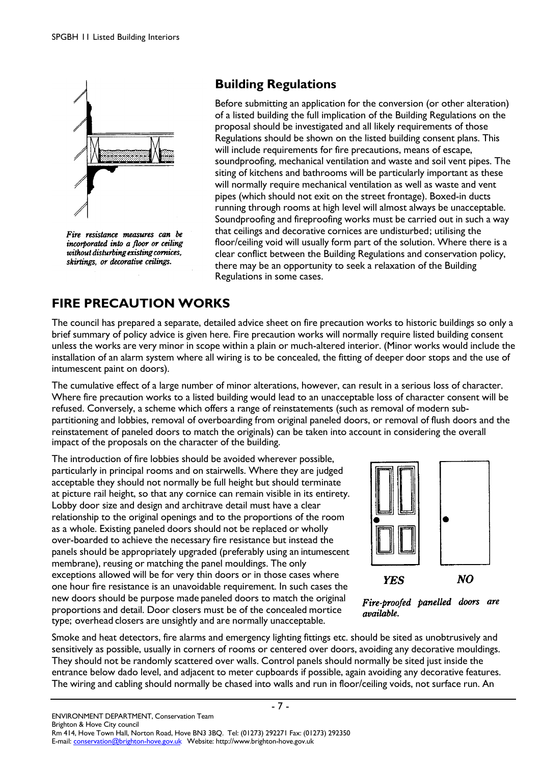

Fire resistance measures can be incorporated into a floor or ceiling without disturbing existing cornices, skirtings, or decorative ceilings.

### **Building Regulations**

Before submitting an application for the conversion (or other alteration) of a listed building the full implication of the Building Regulations on the proposal should be investigated and all likely requirements of those Regulations should be shown on the listed building consent plans. This will include requirements for fire precautions, means of escape, soundproofing, mechanical ventilation and waste and soil vent pipes. The siting of kitchens and bathrooms will be particularly important as these will normally require mechanical ventilation as well as waste and vent pipes (which should not exit on the street frontage). Boxed-in ducts running through rooms at high level will almost always be unacceptable. Soundproofing and fireproofing works must be carried out in such a way that ceilings and decorative cornices are undisturbed; utilising the floor/ceiling void will usually form part of the solution. Where there is a clear conflict between the Building Regulations and conservation policy, there may be an opportunity to seek a relaxation of the Building Regulations in some cases.

# **FIRE PRECAUTION WORKS**

The council has prepared a separate, detailed advice sheet on fire precaution works to historic buildings so only a brief summary of policy advice is given here. Fire precaution works will normally require listed building consent unless the works are very minor in scope within a plain or much-altered interior. (Minor works would include the installation of an alarm system where all wiring is to be concealed, the fitting of deeper door stops and the use of intumescent paint on doors).

The cumulative effect of a large number of minor alterations, however, can result in a serious loss of character. Where fire precaution works to a listed building would lead to an unacceptable loss of character consent will be refused. Conversely, a scheme which offers a range of reinstatements (such as removal of modern subpartitioning and lobbies, removal of overboarding from original paneled doors, or removal of flush doors and the reinstatement of paneled doors to match the originals) can be taken into account in considering the overall impact of the proposals on the character of the building.

The introduction of fire lobbies should be avoided wherever possible, particularly in principal rooms and on stairwells. Where they are judged acceptable they should not normally be full height but should terminate at picture rail height, so that any cornice can remain visible in its entirety. Lobby door size and design and architrave detail must have a clear relationship to the original openings and to the proportions of the room as a whole. Existing paneled doors should not be replaced or wholly over-boarded to achieve the necessary fire resistance but instead the panels should be appropriately upgraded (preferably using an intumescent membrane), reusing or matching the panel mouldings. The only exceptions allowed will be for very thin doors or in those cases where one hour fire resistance is an unavoidable requirement. In such cases the new doors should be purpose made paneled doors to match the original proportions and detail. Door closers must be of the concealed mortice type; overhead closers are unsightly and are normally unacceptable.



Fire-proofed panelled doors are available.

Smoke and heat detectors, fire alarms and emergency lighting fittings etc. should be sited as unobtrusively and sensitively as possible, usually in corners of rooms or centered over doors, avoiding any decorative mouldings. They should not be randomly scattered over walls. Control panels should normally be sited just inside the entrance below dado level, and adjacent to meter cupboards if possible, again avoiding any decorative features. The wiring and cabling should normally be chased into walls and run in floor/ceiling voids, not surface run. An